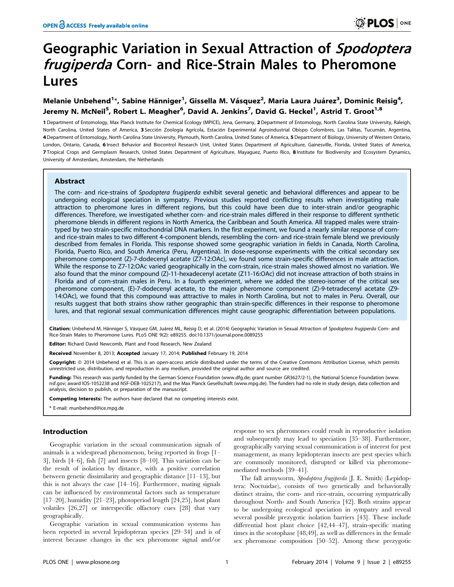# Geographic Variation in Sexual Attraction of Spodoptera frugiperda Corn- and Rice-Strain Males to Pheromone Lures

## Melanie Unbehend<sup>1</sup>\*, Sabine Hänniger<sup>1</sup>, Gissella M. Vásquez<sup>2</sup>, María Laura Juárez<sup>3</sup>, Dominic Reisig<sup>4</sup>, Jeremy N. McNeil<sup>5</sup>, Robert L. Meagher<sup>6</sup>, David A. Jenkins<sup>7</sup>, David G. Heckel<sup>1</sup>, Astrid T. Groot<sup>1,8</sup>

1 Department of Entomology, Max Planck Institute for Chemical Ecology (MPICE), Jena, Germany, 2 Department of Entomology, North Carolina State University, Raleigh, North Carolina, United States of America, 3 Sección Zoología Agrícola, Estación Experimental Agroindustrial Obispo Colombres, Las Talitas, Tucumán, Argentina, 4 Department of Entomology, North Carolina State University, Plymouth, North Carolina, United States of America, 5 Department of Biology, University of Western Ontario, London, Ontario, Canada, 6 Insect Behavior and Biocontrol Research Unit, United States Department of Agriculture, Gainesville, Florida, United States of America, 7 Tropical Crops and Germplasm Research, United States Department of Agriculture, Mayaguez, Puerto Rico, 8 Institute for Biodiversity and Ecosystem Dynamics, University of Amsterdam, Amsterdam, the Netherlands

## Abstract

The corn- and rice-strains of Spodoptera frugiperda exhibit several genetic and behavioral differences and appear to be undergoing ecological speciation in sympatry. Previous studies reported conflicting results when investigating male attraction to pheromone lures in different regions, but this could have been due to inter-strain and/or geographic differences. Therefore, we investigated whether corn- and rice-strain males differed in their response to different synthetic pheromone blends in different regions in North America, the Caribbean and South America. All trapped males were straintyped by two strain-specific mitochondrial DNA markers. In the first experiment, we found a nearly similar response of cornand rice-strain males to two different 4-component blends, resembling the corn- and rice-strain female blend we previously described from females in Florida. This response showed some geographic variation in fields in Canada, North Carolina, Florida, Puerto Rico, and South America (Peru, Argentina). In dose-response experiments with the critical secondary sex pheromone component (Z)-7-dodecenyl acetate (Z7-12:OAc), we found some strain-specific differences in male attraction. While the response to Z7-12:OAc varied geographically in the corn-strain, rice-strain males showed almost no variation. We also found that the minor compound (Z)-11-hexadecenyl acetate (Z11-16:OAc) did not increase attraction of both strains in Florida and of corn-strain males in Peru. In a fourth experiment, where we added the stereo-isomer of the critical sex pheromone component, (E)-7-dodecenyl acetate, to the major pheromone component (Z)-9-tetradecenyl acetate (Z9- 14:OAc), we found that this compound was attractive to males in North Carolina, but not to males in Peru. Overall, our results suggest that both strains show rather geographic than strain-specific differences in their response to pheromone lures, and that regional sexual communication differences might cause geographic differentiation between populations.

Citation: Unbehend M, Hänniger S, Vásquez GM, Juárez ML, Reisig D, et al. (2014) Geographic Variation in Sexual Attraction of Spodoptera frugiperda Corn- and Rice-Strain Males to Pheromone Lures. PLoS ONE 9(2): e89255. doi:10.1371/journal.pone.0089255

Editor: Richard David Newcomb, Plant and Food Research, New Zealand

Received November 8, 2013; Accepted January 17, 2014; Published February 19, 2014

Copyright: @ 2014 Unbehend et al. This is an open-access article distributed under the terms of the [Creative Commons Attribution License](http://creativecommons.org/licenses/by/4.0/), which permits unrestricted use, distribution, and reproduction in any medium, provided the original author and source are credited.

Funding: This research was partly funded by the German Science Foundation (www.dfq.de; grant number GR3627/2-1), the National Science Foundation (www. nsf.gov; award IOS-1052238 and NSF-DEB-1025217), and the Max Planck Gesellschaft (www.mpg.de). The funders had no role in study design, data collection and analysis, decision to publish, or preparation of the manuscript.

Competing Interests: The authors have declared that no competing interests exist.

\* E-mail: munbehend@ice.mpg.de

## Introduction

Geographic variation in the sexual communication signals of animals is a widespread phenomenon, being reported in frogs [1– 3], birds [4–6], fish [7] and insects [8–10]. This variation can be the result of isolation by distance, with a positive correlation between genetic dissimilarity and geographic distance [11–13], but this is not always the case [14–16]. Furthermore, mating signals can be influenced by environmental factors such as temperature [17–20], humidity [21–23], photoperiod length [24,25], host plant volatiles [26,27] or interspecific olfactory cues [28] that vary geographically.

Geographic variation in sexual communication systems has been reported in several lepidopteran species [29–34] and is of interest because changes in the sex pheromone signal and/or

response to sex pheromones could result in reproductive isolation and subsequently may lead to speciation [35–38]. Furthermore, geographically varying sexual communication is of interest for pest management, as many lepidopteran insects are pest species which are commonly monitored, disrupted or killed via pheromonemediated methods [39–41].

The fall armyworm, Spodoptera frugiperda (J. E. Smith) (Lepidoptera: Noctuidae), consists of two genetically and behaviorally distinct strains, the corn- and rice-strain, occurring sympatrically throughout North- and South America [42]. Both strains appear to be undergoing ecological speciation in sympatry and reveal several possible prezygotic isolation barriers [43]. These include differential host plant choice [42,44–47], strain-specific mating times in the scotophase [48,49], as well as differences in the female sex pheromone composition [50–52]. Among these prezygotic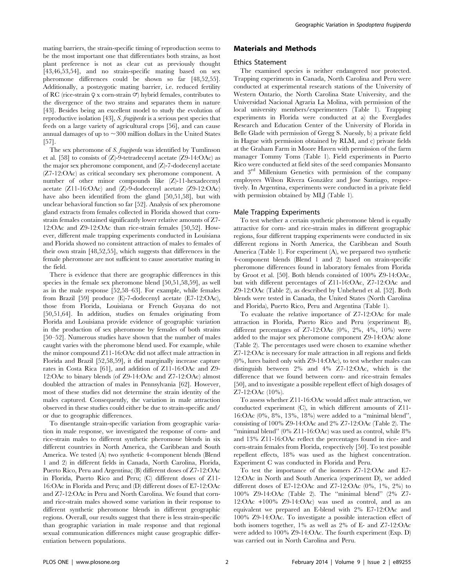mating barriers, the strain-specific timing of reproduction seems to be the most important one that differentiates both strains, as host plant preference is not as clear cut as previously thought [43,46,53,54], and no strain-specific mating based on sex pheromone differences could be shown so far [48,52,55]. Additionally, a postzygotic mating barrier, i.e. reduced fertility of RC (rice-strain  $\varphi$  x corn-strain  $\varphi$ ) hybrid females, contributes to the divergence of the two strains and separates them in nature [43]. Besides being an excellent model to study the evolution of reproductive isolation [43], S. frugiperda is a serious pest species that feeds on a large variety of agricultural crops [56], and can cause annual damages of up to  $\sim$ 300 million dollars in the United States [57].

The sex pheromone of S. frugiperda was identified by Tumlinson et al. [58] to consists of (Z)-9-tetradecenyl acetate (Z9-14:OAc) as the major sex pheromone component, and (Z)-7-dodecenyl acetate (Z7-12:OAc) as critical secondary sex pheromone component. A number of other minor compounds like (Z)-11-hexadecenyl acetate (Z11-16:OAc) and (Z)-9-dodecenyl acetate (Z9-12:OAc) have also been identified from the gland [50,51,58], but with unclear behavioral function so far [52]. Analysis of sex pheromone gland extracts from females collected in Florida showed that cornstrain females contained significantly lower relative amounts of Z7- 12:OAc and Z9-12:OAc than rice-strain females [50,52]. However, different male trapping experiments conducted in Louisiana and Florida showed no consistent attraction of males to females of their own strain [48,52,55], which suggests that differences in the female pheromone are not sufficient to cause assortative mating in the field.

There is evidence that there are geographic differences in this species in the female sex pheromone blend [50,51,58,59], as well as in the male response [52,58–63]. For example, while females from Brazil [59] produce (E)-7-dodecenyl acetate (E7-12:OAc), those from Florida, Louisiana or French Guyana do not [50,51,64]. In addition, studies on females originating from Florida and Louisiana provide evidence of geographic variation in the production of sex pheromone by females of both strains [50–52]. Numerous studies have shown that the number of males caught varies with the pheromone blend used. For example, while the minor compound Z11-16:OAc did not affect male attraction in Florida and Brazil [52,58,59], it did marginally increase capture rates in Costa Rica [61], and addition of Z11-16:OAc and Z9- 12:OAc to binary blends (of Z9-14:OAc and Z7-12:OAc) almost doubled the attraction of males in Pennsylvania [62]. However, most of these studies did not determine the strain identity of the males captured. Consequently, the variation in male attraction observed in these studies could either be due to strain-specific and/ or due to geographic differences.

To disentangle strain-specific variation from geographic variation in male response, we investigated the response of corn- and rice-strain males to different synthetic pheromone blends in six different countries in North America, the Caribbean and South America. We tested (A) two synthetic 4-component blends (Blend 1 and 2) in different fields in Canada, North Carolina, Florida, Puerto Rico, Peru and Argentina; (B) different doses of Z7-12:OAc in Florida, Puerto Rico and Peru; (C) different doses of Z11- 16:OAc in Florida and Peru; and (D) different doses of E7-12:OAc and Z7-12:OAc in Peru and North Carolina. We found that cornand rice-strain males showed some variation in their response to different synthetic pheromone blends in different geographic regions. Overall, our results suggest that there is less strain-specific than geographic variation in male response and that regional sexual communication differences might cause geographic differentiation between populations.

## Materials and Methods

#### Ethics Statement

The examined species is neither endangered nor protected. Trapping experiments in Canada, North Carolina and Peru were conducted at experimental research stations of the University of Western Ontario, the North Carolina State University, and the Universidad Nacional Agraria La Molina, with permission of the local university members/experimenters (Table 1). Trapping experiments in Florida were conducted at a) the Everglades Research and Education Center of the University of Florida in Belle Glade with permission of Gregg S. Nuessly, b) a private field in Hague with permission obtained by RLM, and c) private fields at the Graham Farm in Moore Haven with permission of the farm manager Tommy Toms (Table 1). Field experiments in Puerto Rico were conducted at field sites of the seed companies Monsanto and 3rd Millenium Genetics with permission of the company employees Wilson Rivera González and Jose Santiago, respectively. In Argentina, experiments were conducted in a private field with permission obtained by MLJ (Table 1).

#### Male Trapping Experiments

To test whether a certain synthetic pheromone blend is equally attractive for corn- and rice-strain males in different geographic regions, four different trapping experiments were conducted in six different regions in North America, the Caribbean and South America (Table 1). For experiment (A), we prepared two synthetic 4-component blends (Blend 1 and 2) based on strain-specific pheromone differences found in laboratory females from Florida by Groot et al. [50]. Both blends consisted of 100% Z9-14:OAc, but with different percentages of Z11-16:OAc, Z7-12:OAc and Z9-12:OAc (Table 2), as described by Unbehend et al. [52]. Both blends were tested in Canada, the United States (North Carolina and Florida), Puerto Rico, Peru and Argentina (Table 1).

To evaluate the relative importance of Z7-12:OAc for male attraction in Florida, Puerto Rico and Peru (experiment B), different percentages of Z7-12:OAc  $(0\%, 2\%, 4\%, 10\%)$  were added to the major sex pheromone component Z9-14:OAc alone (Table 2). The percentages used were chosen to examine whether Z7-12:OAc is necessary for male attraction in all regions and fields (0%, lures baited only with Z9-14:OAc), to test whether males can distinguish between 2% and 4% Z7-12:OAc, which is the difference that we found between corn- and rice-strain females [50], and to investigate a possible repellent effect of high dosages of Z7-12:OAc (10%).

To assess whether Z11-16:OAc would affect male attraction, we conducted experiment (C), in which different amounts of Z11- 16:OAc (0%, 8%, 13%, 18%) were added to a ''minimal blend'', consisting of 100% Z9-14:OAc and 2% Z7-12:OAc (Table 2). The "minimal blend"  $(0\% \text{ Z11-16:OAc})$  was used as control, while  $8\%$ and 13% Z11-16:OAc reflect the percentages found in rice- and corn-strain females from Florida, respectively [50]. To test possible repellent effects, 18% was used as the highest concentration. Experiment C was conducted in Florida and Peru.

To test the importance of the isomers Z7-12:OAc and E7- 12:OAc in North and South America (experiment D), we added different doses of E7-12:OAc and Z7-12:OAc (0%, 1%, 2%) to 100% Z9-14:OAc (Table 2). The ''minimal blend'' (2% Z7- 12:OAc +100% Z9-14:OAc) was used as control, and as an equivalent we prepared an E-blend with 2% E7-12:OAc and 100% Z9-14:OAc. To investigate a possible interaction effect of both isomers together, 1% as well as 2% of E- and Z7-12:OAc were added to 100% Z9-14:OAc. The fourth experiment (Exp. D) was carried out in North Carolina and Peru.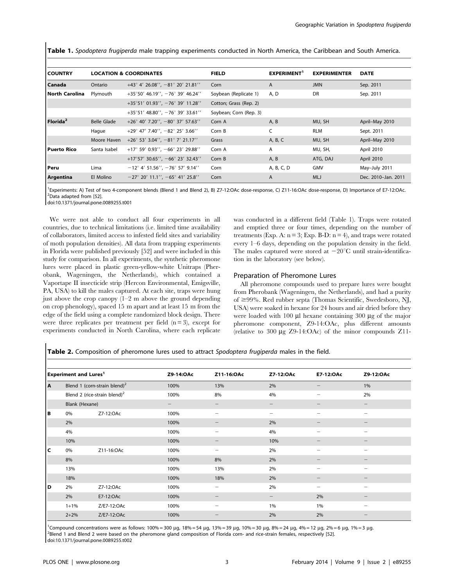Table 1. Spodoptera frugiperda male trapping experiments conducted in North America, the Caribbean and South America.

| l COUNTRY            |                    | <b>LOCATION &amp; COORDINATES</b>                    | <b>FIELD</b>           | EXPERIMENT <sup>1</sup> | <b>EXPERIMENTER</b> | <b>DATE</b>         |
|----------------------|--------------------|------------------------------------------------------|------------------------|-------------------------|---------------------|---------------------|
| l Canada             | Ontario            | $+43^{\circ}$ 4' 26.08'', -81 $^{\circ}$ 20' 21.81'' | Corn                   | A                       | <b>JMN</b>          | Sep. 2011           |
| l North Carolina     | Plymouth           | $+35^{\circ}50'$ 46.19'', $-76^{\circ}$ 39' 46.24''  | Soybean (Replicate 1)  | A, D                    | DR                  | Sep. 2011           |
|                      |                    | $+35^{\circ}51'$ 01.93'', $-76^{\circ}$ 39' 11.28''  | Cotton; Grass (Rep. 2) |                         |                     |                     |
|                      |                    | $+35^{\circ}51'$ 48.80'', $-76^{\circ}$ 39' 33.61''  | Soybean; Corn (Rep. 3) |                         |                     |                     |
| Florida <sup>2</sup> | <b>Belle Glade</b> | $+26^{\circ}$ 40' 7.20'', $-80^{\circ}$ 37' 57.63''  | Corn A                 | A, B                    | MU, SH              | April-May 2010      |
|                      | Haque              | $+29^{\circ}$ 47' 7.40'', $-82^{\circ}$ 25' 3.66''   | Corn B                 | C                       | <b>RLM</b>          | Sept. 2011          |
|                      | Moore Haven        | $+26^{\circ}$ 53' 3.04'', $-81^{\circ}$ 7' 21.17''   | Grass                  | A, B, C                 | MU, SH              | April-May 2010      |
| l Puerto Rico        | Santa Isabel       | +17° 59' 0.93'', -66° 23' 29.88''                    | Corn A                 | A                       | MU, SH,             | April 2010          |
|                      |                    | $+17^{\circ}57'$ 30.65'', $-66^{\circ}$ 23' 32.43''  | Corn B                 | A, B                    | ATG, DAJ            | April 2010          |
| Peru                 | Lima               | $-12^{\circ}$ 4' 51.56'', $-76^{\circ}$ 57' 9.14''   | Corn                   | A, B, C, D              | <b>GMV</b>          | May-July 2011       |
| Argentina            | El Molino          | $-27^{\circ}$ 20' 11.1'', $-65^{\circ}$ 41' 25.8''   | Corn                   | A                       | <b>MLJ</b>          | Dec. 2010-Jan. 2011 |

<sup>1</sup>Experiments: A) Test of two 4-component blends (Blend 1 and Blend 2), B) Z7-12:OAc dose-response, C) Z11-16:OAc dose-response, D) Importance of E7-12:OAc.<br><sup>2</sup>Data adanted from [52] <sup>2</sup>Data adapted from [52].

doi:10.1371/journal.pone.0089255.t001

We were not able to conduct all four experiments in all countries, due to technical limitations (i.e. limited time availability of collaborators, limited access to infested field sites and variability of moth population densities). All data from trapping experiments in Florida were published previously [52] and were included in this study for comparison. In all experiments, the synthetic pheromone lures were placed in plastic green-yellow-white Unitraps (Pherobank, Wageningen, the Netherlands), which contained a Vaportape II insecticide strip (Hercon Environmental, Emigsville, PA, USA) to kill the males captured. At each site, traps were hung just above the crop canopy (1–2 m above the ground depending on crop phenology), spaced 15 m apart and at least 15 m from the edge of the field using a complete randomized block design. There were three replicates per treatment per field  $(n=3)$ , except for experiments conducted in North Carolina, where each replicate was conducted in a different field (Table 1). Traps were rotated and emptied three or four times, depending on the number of treatments (Exp. A:  $n = 3$ ; Exp. B-D:  $n = 4$ ), and traps were rotated every 1–6 days, depending on the population density in the field. The males captured were stored at  $-20^{\circ}$ C until strain-identification in the laboratory (see below).

## Preparation of Pheromone Lures

All pheromone compounds used to prepare lures were bought from Pherobank (Wageningen, the Netherlands), and had a purity of  $\geq$ 99%. Red rubber septa (Thomas Scientific, Swedesboro, NJ, USA) were soaked in hexane for 24 hours and air dried before they were loaded with  $100 \mu l$  hexane containing  $300 \mu g$  of the major pheromone component, Z9-14:OAc, plus different amounts (relative to 300  $\mu$ g Z9-14:OAc) of the minor compounds Z11-

Table 2. Composition of pheromone lures used to attract Spodoptera frugiperda males in the field.

| <b>Experiment and Lures<sup>1</sup></b> |                                                            | Z9-14:OAc   | Z11-16:OAc        | Z7-12:OAc                | E7-12:OAc                       | Z9-12:OAc |                                |
|-----------------------------------------|------------------------------------------------------------|-------------|-------------------|--------------------------|---------------------------------|-----------|--------------------------------|
| A                                       | Blend 1 (corn-strain blend) <sup>2</sup>                   |             | 100%              | 13%                      | 2%                              |           | 1%                             |
|                                         | Blend 2 (rice-strain blend) <sup>2</sup><br>Blank (Hexane) |             | 100%              | 8%                       | 4%                              | -         | 2%                             |
|                                         |                                                            |             | $\qquad \qquad -$ | -                        | $\hspace{0.1mm}-\hspace{0.1mm}$ |           | $\qquad \qquad -$              |
| lв                                      | 0%                                                         | Z7-12:OAc   | 100%              | $\overline{\phantom{0}}$ | -                               | -         | $\overline{\phantom{0}}$       |
|                                         | 2%                                                         |             | 100%              |                          | 2%                              |           | -                              |
|                                         | 4%                                                         |             | 100%              |                          | 4%                              |           | -                              |
|                                         | 10%                                                        |             | 100%              |                          | 10%                             |           | $\qquad \qquad \longleftarrow$ |
| lc                                      | 0%                                                         | Z11-16:OAc  | 100%              | -                        | 2%                              | -         | $\overline{\phantom{0}}$       |
|                                         | 8%                                                         |             | 100%              | 8%                       | 2%                              |           | $\qquad \qquad \longleftarrow$ |
|                                         | 13%                                                        |             | 100%              | 13%                      | 2%                              | -         | $\overline{\phantom{0}}$       |
|                                         | 18%                                                        |             | 100%              | 18%                      | 2%                              |           |                                |
| ١D                                      | 2%                                                         | Z7-12:OAc   | 100%              | -                        | 2%                              | -         | -                              |
|                                         | 2%                                                         | E7-12:OAc   | 100%              | -                        | -                               | 2%        | $\qquad \qquad -$              |
|                                         | $1 + 1\%$                                                  | Z/E7-12:OAc | 100%              | -                        | 1%                              | 1%        | $\overline{\phantom{a}}$       |
|                                         | $2 + 2%$                                                   | Z/E7-12:OAc | 100%              |                          | 2%                              | 2%        | -                              |

<sup>1</sup>Compound concentrations were as follows: 100% = 300 µg, 18% = 54 µg, 13% = 39 µg, 10% = 30 µg, 8% = 24 µg, 4% = 12 µg, 2% = 6 µg, 1% = 3 µg.<br><sup>2</sup>Blond 1 and Blond 2 were based on the pheremone gland composition of Eleri <sup>2</sup>Blend 1 and Blend 2 were based on the pheromone gland composition of Florida corn- and rice-strain females, respectively [52]. doi:10.1371/journal.pone.0089255.t002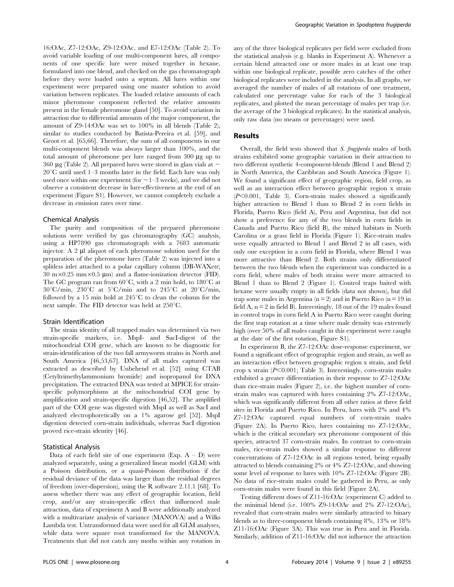16:OAc, Z7-12:OAc, Z9-12:OAc, and E7-12:OAc (Table 2). To avoid variable loading of our multi-component lures, all components of one specific lure were mixed together in hexane, formulated into one blend, and checked on the gas chromatograph before they were loaded onto a septum. All lures within one experiment were prepared using one master solution to avoid variation between replicates. The loaded relative amounts of each minor pheromone component reflected the relative amounts present in the female pheromone gland [50]. To avoid variation in attraction due to differential amounts of the major component, the amount of Z9-14:OAc was set to 100% in all blends (Table 2), similar to studies conducted by Batista-Pereira et al. [59], and Groot et al. [65,66]. Therefore, the sum of all components in our multi-component blends was always larger than 100%, and the total amount of pheromone per lure ranged from  $300 \mu g$  up to 360  $\mu$ g (Table 2). All prepared lures were stored in glass vials at  $\sim$  $20^{\circ}$ C until used 1–3 months later in the field. Each lure was only used once within one experiment (for  $\sim$  1–3 weeks), and we did not observe a consistent decrease in lure-effectiveness at the end of an experiment (Figure S1). However, we cannot completely exclude a decrease in emission rates over time.

#### Chemical Analysis

The purity and composition of the prepared pheromone solutions were verified by gas chromatography (GC) analysis, using a HP7890 gas chromatograph with a 7683 automatic injector. A 2 µl aliquot of each pheromone solution used for the preparation of the pheromone lures (Table 2) was injected into a splitless inlet attached to a polar capillary column (DB-WAXetr;  $30 \text{ m} \times 0.25 \text{ mm} \times 0.5 \text{ \mu m}$  and a flame-ionization detector (FID). The GC program ran from  $60^{\circ}$ C, with a 2 min hold, to  $180^{\circ}$ C at  $30^{\circ}$ C/min,  $230^{\circ}$ C at  $5^{\circ}$ C/min and to  $245^{\circ}$ C at  $20^{\circ}$ C/min, followed by a 15 min hold at  $245^{\circ}$ C to clean the column for the next sample. The FID detector was held at  $250^{\circ}$ C.

#### Strain Identification

The strain identity of all trapped males was determined via two strain-specific markers, i.e. MspI- and SacI-digest of the mitochondrial COI gene, which are known to be diagnostic for strain-identification of the two fall armyworm strains in North and South America [46,53,67]. DNA of all males captured was extracted as described by Unbehend et al. [52] using CTAB (Cetyltrimethylammonium bromide) and isopropanol for DNA precipitation. The extracted DNA was tested at MPICE for strainspecific polymorphisms at the mitochondrial COI gene by amplification and strain-specific digestion [46,52]. The amplified part of the COI gene was digested with MspI as well as SacI and analyzed electrophoretically on a 1% agarose gel [52]. MspI digestion detected corn-strain individuals, whereas SacI digestion proved rice-strain identity [46].

#### Statistical Analysis

Data of each field site of one experiment (Exp.  $A - D$ ) were analyzed separately, using a generalized linear model (GLM) with a Poisson distribution, or a quasi-Poisson distribution if the residual deviance of the data was larger than the residual degrees of freedom (over-dispersion), using the R software 2.11.1 [68]. To assess whether there was any effect of geographic location, field crop, and/or any strain-specific effect that influenced male attraction, data of experiment A and B were additionally analyzed with a multivariate analysis of variance (MANOVA) and a Wilks Lambda test. Untransformed data were used for all GLM analyses, while data were square root transformed for the MANOVA. Treatments that did not catch any moths within any rotation in any of the three biological replicates per field were excluded from the statistical analysis (e.g. blanks in Experiment A). Whenever a certain blend attracted one or more males in at least one trap within one biological replicate, possible zero catches of the other biological replicates were included in the analysis. In all graphs, we averaged the number of males of all rotations of one treatment, calculated one percentage value for each of the 3 biological replicates, and plotted the mean percentage of males per trap (i.e. the average of the 3 biological replicates). In the statistical analysis, only raw data (no means or percentages) were used.

## Results

Overall, the field tests showed that S. frugiperda males of both strains exhibited some geographic variation in their attraction to two different synthetic 4-component-blends (Blend 1 and Blend 2) in North America, the Caribbean and South America (Figure 1). We found a significant effect of geographic region, field crop, as well as an interaction effect between geographic region x strain  $(P<0.001$ , Table 3). Corn-strain males showed a significantly higher attraction to Blend 1 than to Blend 2 in corn fields in Florida, Puerto Rico (field A), Peru and Argentina, but did not show a preference for any of the two blends in corn fields in Canada and Puerto Rico (field B), the mixed habitats in North Carolina or a grass field in Florida (Figure 1). Rice-strain males were equally attracted to Blend 1 and Blend 2 in all cases, with only one exception in a corn field in Florida, where Blend 1 was more attractive than Blend 2. Both strains only differentiated between the two blends when the experiment was conducted in a corn field, where males of both strains were more attracted to Blend 1 than to Blend 2 (Figure 1). Control traps baited with hexane were usually empty in all fields (data not shown), but did trap some males in Argentina ( $n = 2$ ) and in Puerto Rico ( $n = 19$  in field A,  $n = 2$  in field B). Interestingly, 18 out of the 19 males found in control traps in corn field A in Puerto Rico were caught during the first trap rotation at a time where male density was extremely high (over 50% of all males caught in this experiment were caught at the date of the first rotation, Figure S1).

In experiment B, the Z7-12:OAc dose-response experiment, we found a significant effect of geographic region and strain, as well as an interaction effect between geographic region x strain, and field crop x strain  $(P<0.001$ ; Table 3). Interestingly, corn-strain males exhibited a greater differentiation in their response to Z7-12:OAc than rice-strain males (Figure 2), i.e. the highest number of cornstrain males was captured with lures containing 2% Z7-12:OAc, which was significantly different from all other ratios at three field sites in Florida and Puerto Rico. In Peru, lures with 2% and 4% Z7-12:OAc captured equal numbers of corn-strain males (Figure 2A). In Puerto Rico, lures containing no Z7-12:OAc, which is the critical secondary sex pheromone component of this species, attracted 37 corn-strain males. In contrast to corn-strain males, rice-strain males showed a similar response to different concentrations of Z7-12:OAc in all regions tested, being equally attracted to blends containing 2% or 4% Z7-12:OAc, and showing some level of response to lures with 10% Z7-12:OAc (Figure 2B). No data of rice-strain males could be gathered in Peru, as only corn-strain males were found in this field (Figure 2A).

Testing different doses of Z11-16:OAc (experiment C) added to the minimal blend (i.e. 100% Z9-14:OAc and 2% Z7-12:OAc), revealed that corn-strain males were similarly attracted to binary blends as to three-component blends containing 8%, 13% or 18% Z11-16:OAc (Figure 3A). This was true in Peru and in Florida. Similarly, addition of Z11-16:OAc did not influence the attraction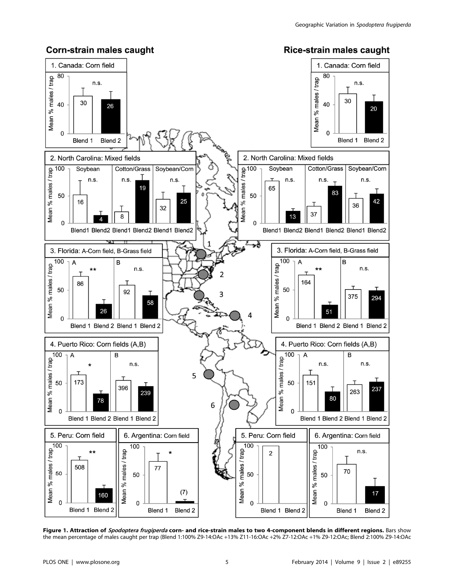

Figure 1. Attraction of Spodoptera frugiperda corn- and rice-strain males to two 4-component blends in different regions. Bars show the mean percentage of males caught per trap (Blend 1:100% Z9-14:OAc +13% Z11-16:OAc +2% Z7-12:OAc +1% Z9-12:OAc; Blend 2:100% Z9-14:OAc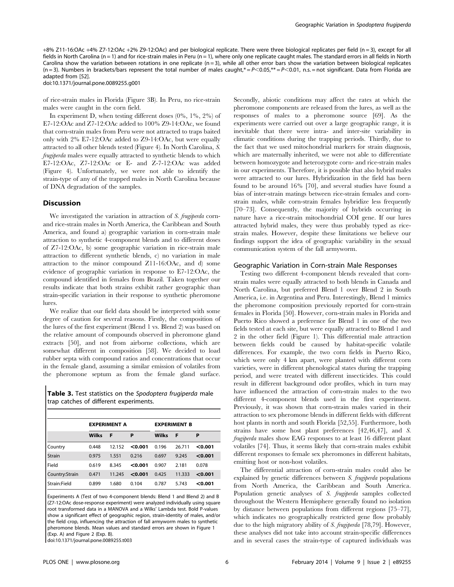+8% Z11-16:OAc +4% Z7-12:OAc +2% Z9-12:OAc) and per biological replicate. There were three biological replicates per field (n = 3), except for all fields in North Carolina (n = 1) and for rice-strain males in Peru (n = 1), where only one replicate caught males. The standard errors in all fields in North Carolina show the variation between rotations in one replicate  $(n=3)$ , while all other error bars show the variation between biological replicates  $(n=3)$ . Numbers in brackets/bars represent the total number of males caught,\* =  $P < 0.05$ ,\*\* =  $P < 0.01$ , n.s. = not significant. Data from Florida are adapted from [52].

doi:10.1371/journal.pone.0089255.g001

of rice-strain males in Florida (Figure 3B). In Peru, no rice-strain males were caught in the corn field.

In experiment D, when testing different doses  $(0\%, 1\%, 2\%)$  of E7-12:OAc and Z7-12:OAc added to 100% Z9-14:OAc, we found that corn-strain males from Peru were not attracted to traps baited only with 2% E7-12:OAc added to Z9-14:OAc, but were equally attracted to all other blends tested (Figure 4). In North Carolina, S. frugiperda males were equally attracted to synthetic blends to which E7-12:OAc, Z7-12:OAc or E- and Z-7-12:OAc was added (Figure 4). Unfortunately, we were not able to identify the strain-type of any of the trapped males in North Carolina because of DNA degradation of the samples.

## Discussion

We investigated the variation in attraction of S. frugiperda cornand rice-strain males in North America, the Caribbean and South America, and found a) geographic variation in corn-strain male attraction to synthetic 4-component blends and to different doses of Z7-12:OAc, b) some geographic variation in rice-strain male attraction to different synthetic blends, c) no variation in male attraction to the minor compound Z11-16:OAc, and d) some evidence of geographic variation in response to E7-12:OAc, the compound identified in females from Brazil. Taken together our results indicate that both strains exhibit rather geographic than strain-specific variation in their response to synthetic pheromone lures.

We realize that our field data should be interpreted with some degree of caution for several reasons. Firstly, the composition of the lures of the first experiment (Blend 1 vs. Blend 2) was based on the relative amount of compounds observed in pheromone gland extracts [50], and not from airborne collections, which are somewhat different in composition [58]. We decided to load rubber septa with compound ratios and concentrations that occur in the female gland, assuming a similar emission of volatiles from the pheromone septum as from the female gland surface.

Table 3. Test statistics on the Spodoptera frugiperda male trap catches of different experiments.

|                 | <b>EXPERIMENT A</b> |        |         | <b>EXPERIMENT B</b> |        |         |
|-----------------|---------------------|--------|---------|---------------------|--------|---------|
|                 | <b>Wilks</b>        | F      | P       | <b>Wilks</b>        | F      | P       |
| <b>Country</b>  | 0.448               | 12.152 | < 0.001 | 0.196               | 26.711 | < 0.001 |
| <b>Strain</b>   | 0.975               | 1.551  | 0.216   | 0.697               | 9.245  | < 0.001 |
| Field           | 0.619               | 8.345  | < 0.001 | 0.907               | 2.181  | 0.078   |
| Country: Strain | 0.471               | 11.245 | < 0.001 | 0.425               | 11.333 | < 0.001 |
| Strain:Field    | 0.899               | 1.680  | 0.104   | 0.787               | 5.743  | < 0.001 |

Experiments A (Test of two 4-component blends: Blend 1 and Blend 2) and B (Z7-12:OAc dose-response experiment) were analyzed individually using square root transformed data in a MANOVA and a Wilks' Lambda test. Bold P-values show a significant effect of geographic region, strain-identity of males, and/or the field crop, influencing the attraction of fall armyworm males to synthetic pheromone blends. Mean values and standard errors are shown in Figure 1 (Exp. A) and Figure 2 (Exp. B).

doi:10.1371/journal.pone.0089255.t003

Secondly, abiotic conditions may affect the rates at which the pheromone components are released from the lures, as well as the responses of males to a pheromone source [69]. As the experiments were carried out over a large geographic range, it is inevitable that there were intra- and inter-site variability in climatic conditions during the trapping periods. Thirdly, due to the fact that we used mitochondrial markers for strain diagnosis, which are maternally inherited, we were not able to differentiate between homozygote and heterozygote corn- and rice-strain males in our experiments. Therefore, it is possible that also hybrid males were attracted to our lures. Hybridization in the field has been found to be around 16% [70], and several studies have found a bias of inter-strain matings between rice-strain females and cornstrain males, while corn-strain females hybridize less frequently [70–73]. Consequently, the majority of hybrids occurring in nature have a rice-strain mitochondrial COI gene. If our lures attracted hybrid males, they were thus probably typed as ricestrain males. However, despite these limitations we believe our findings support the idea of geographic variability in the sexual communication system of the fall armyworm.

#### Geographic Variation in Corn-strain Male Responses

Testing two different 4-component blends revealed that cornstrain males were equally attracted to both blends in Canada and North Carolina, but preferred Blend 1 over Blend 2 in South America, i.e. in Argentina and Peru. Interestingly, Blend 1 mimics the pheromone composition previously reported for corn-strain females in Florida [50]. However, corn-strain males in Florida and Puerto Rico showed a preference for Blend 1 in one of the two fields tested at each site, but were equally attracted to Blend 1 and 2 in the other field (Figure 1). This differential male attraction between fields could be caused by habitat-specific volatile differences. For example, the two corn fields in Puerto Rico, which were only 4 km apart, were planted with different corn varieties, were in different phenological states during the trapping period, and were treated with different insecticides. This could result in different background odor profiles, which in turn may have influenced the attraction of corn-strain males to the two different 4-component blends used in the first experiment. Previously, it was shown that corn-strain males varied in their attraction to sex pheromone blends in different fields with different host plants in north and south Florida [52,55]. Furthermore, both strains have some host plant preferences [42,46,47], and S. frugiperda males show EAG responses to at least 16 different plant volatiles [74]. Thus, it seems likely that corn-strain males exhibit different responses to female sex pheromones in different habitats, emitting host or non-host volatiles.

The differential attraction of corn-strain males could also be explained by genetic differences between S. frugiperda populations from North America, the Caribbean and South America. Population genetic analyses of S. frugiperda samples collected throughout the Western Hemisphere generally found no isolation by distance between populations from different regions [75–77], which indicates no geographically restricted gene flow probably due to the high migratory ability of S. frugiperda [78,79]. However, these analyses did not take into account strain-specific differences and in several cases the strain-type of captured individuals was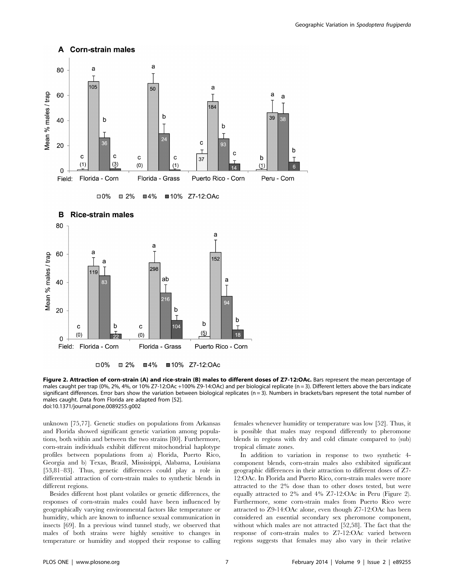

Figure 2. Attraction of corn-strain (A) and rice-strain (B) males to different doses of Z7-12:OAc. Bars represent the mean percentage of males caught per trap (0%, 2%, 4%, or 10% Z7-12:OAc +100% Z9-14:OAc) and per biological replicate (n = 3). Different letters above the bars indicate significant differences. Error bars show the variation between biological replicates (n = 3). Numbers in brackets/bars represent the total number of males caught. Data from Florida are adapted from [52]. doi:10.1371/journal.pone.0089255.g002

unknown [75,77]. Genetic studies on populations from Arkansas and Florida showed significant genetic variation among populations, both within and between the two strains [80]. Furthermore, corn-strain individuals exhibit different mitochondrial haplotype profiles between populations from a) Florida, Puerto Rico, Georgia and b) Texas, Brazil, Mississippi, Alabama, Louisiana [53,81–83]. Thus, genetic differences could play a role in differential attraction of corn-strain males to synthetic blends in different regions.

Besides different host plant volatiles or genetic differences, the responses of corn-strain males could have been influenced by geographically varying environmental factors like temperature or humidity, which are known to influence sexual communication in insects [69]. In a previous wind tunnel study, we observed that males of both strains were highly sensitive to changes in temperature or humidity and stopped their response to calling females whenever humidity or temperature was low [52]. Thus, it is possible that males may respond differently to pheromone blends in regions with dry and cold climate compared to (sub) tropical climate zones.

In addition to variation in response to two synthetic 4 component blends, corn-strain males also exhibited significant geographic differences in their attraction to different doses of Z7- 12:OAc. In Florida and Puerto Rico, corn-strain males were more attracted to the 2% dose than to other doses tested, but were equally attracted to 2% and 4% Z7-12:OAc in Peru (Figure 2). Furthermore, some corn-strain males from Puerto Rico were attracted to Z9-14:OAc alone, even though Z7-12:OAc has been considered an essential secondary sex pheromone component, without which males are not attracted [52,58]. The fact that the response of corn-strain males to Z7-12:OAc varied between regions suggests that females may also vary in their relative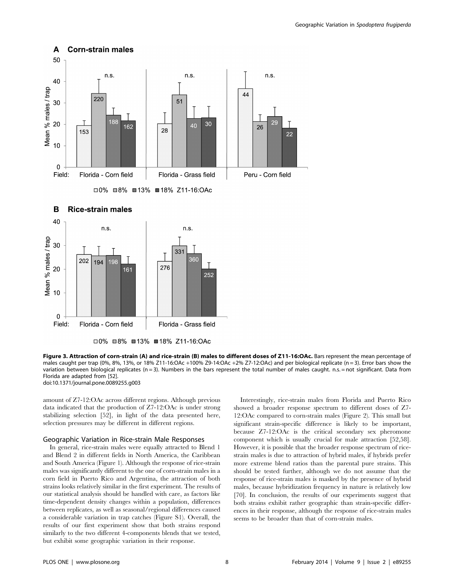

□0% □8% ■13% ■18% Z11-16:OAc

Figure 3. Attraction of corn-strain (A) and rice-strain (B) males to different doses of Z11-16:OAc. Bars represent the mean percentage of males caught per trap (0%, 8%, 13%, or 18% Z11-16:OAc +100% Z9-14:OAc +2% Z7-12:OAc) and per biological replicate (n = 3). Error bars show the variation between biological replicates ( $n = 3$ ). Numbers in the bars represent the total number of males caught. n.s. = not significant. Data from Florida are adapted from [52]. doi:10.1371/journal.pone.0089255.g003

amount of Z7-12:OAc across different regions. Although previous data indicated that the production of Z7-12:OAc is under strong stabilizing selection [52], in light of the data presented here, selection pressures may be different in different regions.

### Geographic Variation in Rice-strain Male Responses

In general, rice-strain males were equally attracted to Blend 1 and Blend 2 in different fields in North America, the Caribbean and South America (Figure 1). Although the response of rice-strain males was significantly different to the one of corn-strain males in a corn field in Puerto Rico and Argentina, the attraction of both strains looks relatively similar in the first experiment. The results of our statistical analysis should be handled with care, as factors like time-dependent density changes within a population, differences between replicates, as well as seasonal/regional differences caused a considerable variation in trap catches (Figure S1). Overall, the results of our first experiment show that both strains respond similarly to the two different 4-components blends that we tested, but exhibit some geographic variation in their response.

Interestingly, rice-strain males from Florida and Puerto Rico showed a broader response spectrum to different doses of Z7- 12:OAc compared to corn-strain males (Figure 2). This small but significant strain-specific difference is likely to be important, because Z7-12:OAc is the critical secondary sex pheromone component which is usually crucial for male attraction [52,58]. However, it is possible that the broader response spectrum of ricestrain males is due to attraction of hybrid males, if hybrids prefer more extreme blend ratios than the parental pure strains. This should be tested further, although we do not assume that the response of rice-strain males is masked by the presence of hybrid males, because hybridization frequency in nature is relatively low [70]. In conclusion, the results of our experiments suggest that both strains exhibit rather geographic than strain-specific differences in their response, although the response of rice-strain males seems to be broader than that of corn-strain males.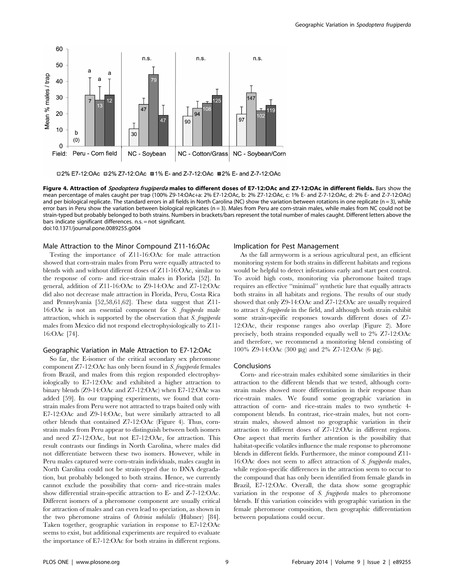

□2% E7-12:OAc □2% Z7-12:OAc □1% E- and Z-7-12:OAc □2% E- and Z-7-12:OAc

Figure 4. Attraction of Spodoptera frugiperda males to different doses of E7-12:OAc and Z7-12:OAc in different fields. Bars show the mean percentage of males caught per trap (100% Z9-14:OAc+a: 2% E7-12:OAc, b: 2% Z7-12:OAc, c: 1% E- and Z-7-12:OAc, d: 2% E- and Z-7-12:OAc) and per biological replicate. The standard errors in all fields in North Carolina (NC) show the variation between rotations in one replicate (n = 3), while error bars in Peru show the variation between biological replicates ( $n = 3$ ). Males from Peru are corn-strain males, while males from NC could not be strain-typed but probably belonged to both strains. Numbers in brackets/bars represent the total number of males caught. Different letters above the bars indicate significant differences. n.s. = not significant. doi:10.1371/journal.pone.0089255.g004

## Male Attraction to the Minor Compound Z11-16:OAc

Testing the importance of Z11-16:OAc for male attraction showed that corn-strain males from Peru were equally attracted to blends with and without different doses of Z11-16:OAc, similar to the response of corn- and rice-strain males in Florida [52]. In general, addition of Z11-16:OAc to Z9-14:OAc and Z7-12:OAc did also not decrease male attraction in Florida, Peru, Costa Rica and Pennsylvania [52,58,61,62]. These data suggest that Z11- 16:OAc is not an essential component for S. frugiperda male attraction, which is supported by the observation that S. frugiperda males from Mexico did not respond electrophysiologically to Z11- 16:OAc [74].

#### Geographic Variation in Male Attraction to E7-12:OAc

So far, the E-isomer of the critical secondary sex pheromone component Z7-12:OAc has only been found in S. frugiperda females from Brazil, and males from this region responded electrophysiologically to E7-12:OAc and exhibited a higher attraction to binary blends (Z9-14:OAc and Z7-12:OAc) when E7-12:OAc was added [59]. In our trapping experiments, we found that cornstrain males from Peru were not attracted to traps baited only with E7-12:OAc and Z9-14:OAc, but were similarly attracted to all other blends that contained Z7-12:OAc (Figure 4). Thus, cornstrain males from Peru appear to distinguish between both isomers and need Z7-12:OAc, but not E7-12:OAc, for attraction. This result contrasts our findings in North Carolina, where males did not differentiate between these two isomers. However, while in Peru males captured were corn-strain individuals, males caught in North Carolina could not be strain-typed due to DNA degradation, but probably belonged to both strains. Hence, we currently cannot exclude the possibility that corn- and rice-strain males show differential strain-specific attraction to E- and Z-7-12:OAc. Different isomers of a pheromone component are usually critical for attraction of males and can even lead to speciation, as shown in the two pheromone strains of Ostrinia nubilalis (Hübner) [84]. Taken together, geographic variation in response to E7-12:OAc seems to exist, but additional experiments are required to evaluate the importance of E7-12:OAc for both strains in different regions.

#### Implication for Pest Management

As the fall armyworm is a serious agricultural pest, an efficient monitoring system for both strains in different habitats and regions would be helpful to detect infestations early and start pest control. To avoid high costs, monitoring via pheromone baited traps requires an effective ''minimal'' synthetic lure that equally attracts both strains in all habitats and regions. The results of our study showed that only Z9-14:OAc and Z7-12:OAc are usually required to attract S. frugiperda in the field, and although both strain exhibit some strain-specific responses towards different doses of Z7- 12:OAc, their response ranges also overlap (Figure 2). More precisely, both strains responded equally well to 2% Z7-12:OAc and therefore, we recommend a monitoring blend consisting of 100% Z9-14:OAc (300 μg) and 2% Z7-12:OAc (6 μg).

### Conclusions

Corn- and rice-strain males exhibited some similarities in their attraction to the different blends that we tested, although cornstrain males showed more differentiation in their response than rice-strain males. We found some geographic variation in attraction of corn- and rice-strain males to two synthetic 4 component blends. In contrast, rice-strain males, but not cornstrain males, showed almost no geographic variation in their attraction to different doses of Z7-12:OAc in different regions. One aspect that merits further attention is the possibility that habitat-specific volatiles influence the male response to pheromone blends in different fields. Furthermore, the minor compound Z11- 16:OAc does not seem to affect attraction of S. frugiperda males, while region-specific differences in the attraction seem to occur to the compound that has only been identified from female glands in Brazil, E7-12:OAc. Overall, the data show some geographic variation in the response of S. frugiperda males to pheromone blends. If this variation coincides with geographic variation in the female pheromone composition, then geographic differentiation between populations could occur.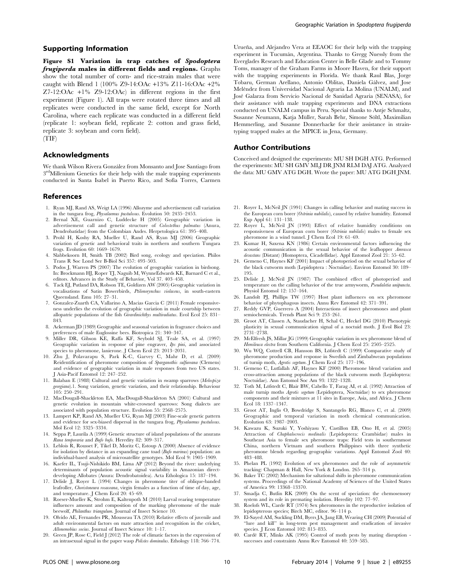## Supporting Information

Figure S1 Variation in trap catches of Spodoptera frugiperda males in different fields and regions. Graphs show the total number of corn- and rice-strain males that were caught with Blend 1 (100% Z9-14:OAc +13% Z11-16:OAc +2% Z7-12:OAc +1% Z9-12:OAc) in different regions in the first experiment (Figure 1). All traps were rotated three times and all replicates were conducted in the same field, except for North Carolina, where each replicate was conducted in a different field (replicate 1: soybean field, replicate 2: cotton and grass field, replicate 3: soybean and corn field).

(TIF)

## Acknowledgments

We thank Wilson Rivera González from Monsanto and Jose Santiago from 3<sup>rd</sup>Millenium Genetics for their help with the male trapping experiments conducted in Santa Isabel in Puerto Rico, and Sofia Torres, Carmen

#### References

- 1. Ryan MJ, Rand AS, Weigt LA (1996) Allozyme and advertisement call variation in the tungara frog, Physalaemus pustulosus. Evolution 50: 2435–2453.
- 2. Bernal XE, Guarnizo C, Luddecke H (2005) Geographic variation in advertisement call and genetic structure of Colostethus palmatus (Anura, Dendrobatidae) from the Colombian Andes. Herpetologica 61: 395–408.
- 3. Prohl H, Koshy RA, Mueller U, Rand AS, Ryan MJ (2006) Geographic variation of genetic and behavioral traits in northern and southern Tungara frogs. Evolution 60: 1669–1679.
- 4. Slabbekoorn H, Smith TB (2002) Bird song, ecology and speciation. Philos Trans R Soc Lond Ser B-Biol Sci 357: 493–503.
- 5. Podos J, Warren PS (2007) The evolution of geographic variation in birdsong. In: Brockmann HJ, Roper TJ, Naguib M, WynneEdwards KE, Barnard C et al., editors. Advances in the Study of Behavior, Vol 37. 403–458.
- 6. Tack EJ, Putland DA, Robson TE, Goldizen AW (2005) Geographic variation in vocalisations of Satin Bowerbirds, Ptilonorynchus violaceus, in south-eastern Queensland. Emu 105: 27–31.
- 7. Gonzalez-Zuarth CA, Vallarino A, Macias Garcia C (2011) Female responsiveness underlies the evolution of geographic variation in male courtship between allopatric populations of the fish Girardinichthys multiradiatus. Evol Ecol 25: 831– 843.
- 8. Ackerman JD (1989) Geographic and seasonal variation in fragrance choices and preferences of male Euglossine bees. Biotropica 21: 340–347.
- 9. Miller DR, Gibson KE, Raffa KF, Seybold SJ, Teale SA, et al. (1997) Geographic variation in response of pine engraver, *Ips pini*, and associated species to pheromone, lanierone. J Chem Ecol 23: 2013–2031.
- 10. Zhu J, Polavarapu S, Park K-C, Garvey C, Mahr D, et al. (2009) Reidentification of pheromone composition of Sparganothis sulfureana (Clemens) and evidence of geographic variation in male responses from two US states. J Asia-Pacif Entomol 12: 247–252.
- 11. Balaban E (1988) Cultural and genetic variation in swamp sparrows (Melospiza georgiana).1. Song variation, genetic variation, and their relationship. Behaviour 105: 250–291.
- 12. MacDougall-Shackleton EA, MacDougall-Shackleton SA (2001) Cultural and genetic evolution in mountain white-crowned sparrows: Song dialects are associated with population structure. Evolution 55: 2568-2575.
- 13. Lampert KP, Rand AS, Mueller UG, Ryan MJ (2003) Fine-scale genetic pattern and evidence for sex-biased dispersal in the tungara frog, Physalaemus pustulosus. Mol Ecol 12: 3325–3334.
- 14. Seppa P, Laurila A (1999) Genetic structure of island populations of the anurans Rana temporaria and Bufo bufo. Heredity 82: 309–317.
- 15. Leblois R, Rousset F, Tikel D, Moritz C, Estoup A (2000) Absence of evidence for isolation by distance in an expanding cane toad  $(Buf_0$  marinus) population: an individual-based analysis of microsatellite genotypes. Mol Ecol 9: 1905–1909.
- 16. Kaefer IL, Tsuji-Nishikido BM, Lima AP (2012) Beyond the river: underlying determinants of population acoustic signal variability in Amazonian directdeveloping Allobates (Anura: Dendrobatoidea). Acta Ethologica 15: 187–194.
- 17. Delisle J, Royer L (1994) Changes in pheromone titer of oblique-banded leafroller, Choristoneura rosaceana, virgin females as a function of time of day, age, and temperature. J Chem Ecol 20: 45–69.
- 18. Roeser-Mueller K, Strohm E, Kaltenpoth M (2010) Larval rearing temperature influences amount and composition of the marking pheromone of the male beewolf, Philanthus triangulum. Journal of Insect Science 10.
- 19. Olvido AE, Fernandes PR, Mousseau TA (2010) Relative effects of juvenile and adult environmental factors on mate attraction and recognition in the cricket, Allonemobius socius. Journal of Insect Science 10: 1-17.
- 20. Green JP, Rose C, Field J (2012) The role of climatic factors in the expression of an intrasexual signal in the paper wasp Polistes dominulus. Ethology 118: 766–774.

Urueña, and Alejandro Vera at EEAOC for their help with the trapping experiment in Tucumán, Argentina. Thanks to Gregg Nuessly from the Everglades Research and Education Center in Belle Glade and to Tommy Toms, manager of the Graham Farms in Moore Haven, for their support with the trapping experiments in Florida. We thank Raul Blas, Jorge Tobaru, German Arellano, Antonio Oblitas, Daniela Gálvez, and Jose Meléndez from Universidad Nacional Agraria La Molina (UNALM), and Jose´ Galarza from Servicio Nacional de Sanidad Agraria (SENASA), for their assistance with male trapping experiments and DNA extractions conducted on UNALM campus in Peru. Special thanks to Antje Schmaltz, Susanne Neumann, Katja Müller, Sarah Behr, Simone Söltl, Maximilian Hemmerling, and Susanne Donnerhacke for their assistance in straintyping trapped males at the MPICE in Jena, Germany.

## Author Contributions

Conceived and designed the experiments: MU SH DGH ATG. Performed the experiments: MU SH GMV MLJ DR JNM RLM DAJ ATG. Analyzed the data: MU GMV ATG DGH. Wrote the paper: MU ATG DGH JNM.

- 21. Royer L, McNeil JN (1991) Changes in calling behavior and mating success in the European corn borer (Ostrinia nubilalis), caused by relative humidity. Entomol Exp Appl 61: 131–138.
- 22. Royer L, McNeil JN (1993) Effect of relative humidity conditions on responsiveness of European corn borer (Ostrinia nubilalis) males to female sex pheromone in a wind tunnel. J Chem Ecol 19: 61–69.
- 23. Kumar H, Saxena KN (1986) Certain environmental factors influencing the acoustic communication in the sexual behavior of the leafhopper Amrasca devastans (Distant) (Homoptera, Cicadellidae). Appl Entomol Zool 21: 55–62.
- 24. Gemeno C, Haynes KF (2001) Impact of photoperiod on the sexual behavior of the black cutworm moth (Lepidoptera : Noctuidae). Environ Entomol 30: 189– 195.
- 25. Delisle J, McNeil JN (1987) The combined effect of photoperiod and temperature on the calling behavior of the true armyworm, Pseudaletia unipuncta. Physiol Entomol 12: 157–164.
- 26. Landolt PJ, Phillips TW (1997) Host plant influences on sex pheromone behavior of phytophagous insects. Annu Rev Entomol 42: 371–391.
- 27. Reddy GVP, Guerrero A (2004) Interactions of insect pheromones and plant semiochemicals. Trends Plant Sci 9: 253–261.
- 28. Groot AT, Classen A, Staudacher H, Schal C, Heckel DG (2010) Phenotypic plasticity in sexual communication signal of a noctuid moth. J Evol Biol 23: 2731–2738.
- 29. McElfresh JS, Millar JG (1999) Geographic variation in sex pheromone blend of Hemileuca electra from Southern California. J Chem Ecol 25: 2505–2525.
- 30. Wu WQ, Cottrell CB, Hansson BS, Löfstedt C (1999) Comparative study of pheromone production and response in Swedish and Zimbabwean populations of turnip moth, Agrotis segetum. J Chem Ecol 25: 177–196.
- 31. Gemeno C, Lutfallah AF, Haynes KF (2000) Pheromone blend variation and cross-attraction among populations of the black cutworm moth (Lepidoptera: Noctuidae). Ann Entomol Soc Am 93: 1322–1328.
- 32. Toth M, Löfstedt C, Blair BW, Cabello T, Farag AI, et al. (1992) Attraction of male turnip moths Agrotis segetum (Lepidoptera, Noctuidae) to sex pheromone components and their mixtures at 11 sites in Europe, Asia, and Africa. J Chem Ecol 18: 1337–1347.
- 33. Groot AT, Inglis O, Bowdridge S, Santangelo RG, Blanco C, et al. (2009) Geographic and temporal variation in moth chemical communication. Evolution 63: 1987–2003.
- 34. Kawazu K, Suzuki Y, Yoshiyasu Y, Castillon EB, Ono H, et al. (2005) Attraction of Chaphalocrocis medinalis (Lepidoptera: Crambidae) males in Southeast Asia to female sex pheromone traps: Field tests in southernmost China, northern Vietnam and southern Philippines with three synthetic pheromone blends regarding geographic variations. Appl Entomol Zool 40: <u>.</u><br>483–488.
- 35. Phelan PL (1992) Evolution of sex pheromones and the role of asymmetric tracking: Chapman & Hall, New York & London. 265–314 p.
- 36. Baker TC (2002) Mechanism for saltational shifts in pheromone communication systems. Proceedings of the National Academy of Sciences of the United States of America 99: 13368–13370.
- 37. Smadja C, Butlin RK (2009) On the scent of speciation: the chemosensory system and its role in premating isolation. Heredity 102: 77–97.
- 38. Roelofs WL, Carde  $R\dot{T}$  (1974) Sex pheromones in the reproductive isolation of lepidopterous species; Birch MC, editor. 96–114 p.
- 39. El-Sayed AM, Suckling DM, Byers JA, Jang EB, Wearing CH (2009) Potential of ''lure and kill'' in long-term pest management and eradication of invasive species. J Econ Entomol 102: 815–835.
- 40. Cardé RT, Minks AK (1995) Control of moth pests by mating disruption successes and constraints Annu Rev Entomol 40: 559–585.